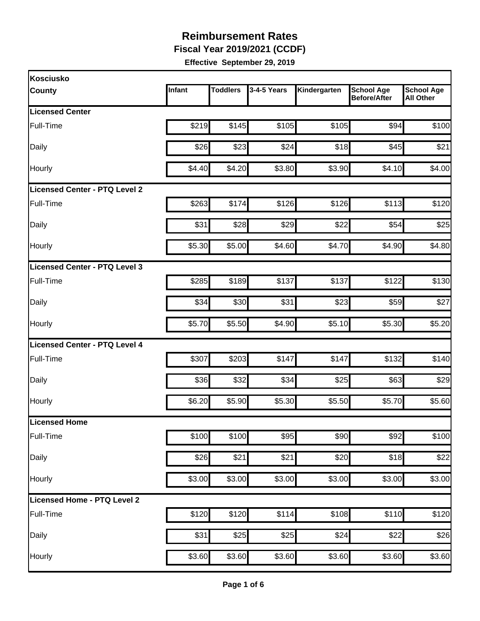**Fiscal Year 2019/2021 (CCDF)** 

| Kosciusko                            |        |                 |             |              |                                          |                                       |
|--------------------------------------|--------|-----------------|-------------|--------------|------------------------------------------|---------------------------------------|
| <b>County</b>                        | Infant | <b>Toddlers</b> | 3-4-5 Years | Kindergarten | <b>School Age</b><br><b>Before/After</b> | <b>School Age</b><br><b>All Other</b> |
| <b>Licensed Center</b>               |        |                 |             |              |                                          |                                       |
| Full-Time                            | \$219  | \$145           | \$105       | \$105        | \$94                                     | \$100                                 |
| Daily                                | \$26   | \$23            | \$24        | \$18         | \$45                                     | \$21                                  |
| Hourly                               | \$4.40 | \$4.20          | \$3.80      | \$3.90       | \$4.10                                   | \$4.00                                |
| <b>Licensed Center - PTQ Level 2</b> |        |                 |             |              |                                          |                                       |
| Full-Time                            | \$263  | \$174           | \$126       | \$126        | \$113                                    | \$120                                 |
| Daily                                | \$31   | \$28            | \$29        | \$22         | \$54                                     | \$25                                  |
| Hourly                               | \$5.30 | \$5.00          | \$4.60      | \$4.70       | \$4.90                                   | \$4.80                                |
| Licensed Center - PTQ Level 3        |        |                 |             |              |                                          |                                       |
| Full-Time                            | \$285  | \$189           | \$137       | \$137        | \$122                                    | \$130                                 |
| Daily                                | \$34   | \$30            | \$31        | \$23         | \$59                                     | \$27                                  |
| Hourly                               | \$5.70 | \$5.50          | \$4.90      | \$5.10       | \$5.30                                   | \$5.20                                |
| Licensed Center - PTQ Level 4        |        |                 |             |              |                                          |                                       |
| Full-Time                            | \$307  | \$203           | \$147       | \$147        | \$132                                    | \$140                                 |
| Daily                                | \$36   | \$32            | \$34        | \$25         | \$63                                     | \$29                                  |
| Hourly                               | \$6.20 | \$5.90          | \$5.30      | \$5.50       | \$5.70                                   | \$5.60                                |
| Licensed Home                        |        |                 |             |              |                                          |                                       |
| Full-Time                            | \$100  | \$100           | \$95        | \$90         | \$92                                     | \$100                                 |
| Daily                                | \$26   | \$21            | \$21        | \$20         | \$18                                     | \$22                                  |
| Hourly                               | \$3.00 | \$3.00          | \$3.00      | \$3.00       | \$3.00                                   | \$3.00                                |
| Licensed Home - PTQ Level 2          |        |                 |             |              |                                          |                                       |
| Full-Time                            | \$120  | \$120           | \$114       | \$108        | \$110                                    | \$120                                 |
| Daily                                | \$31   | \$25            | \$25        | \$24         | \$22                                     | \$26                                  |
| Hourly                               | \$3.60 | \$3.60          | \$3.60      | \$3.60       | \$3.60                                   | \$3.60                                |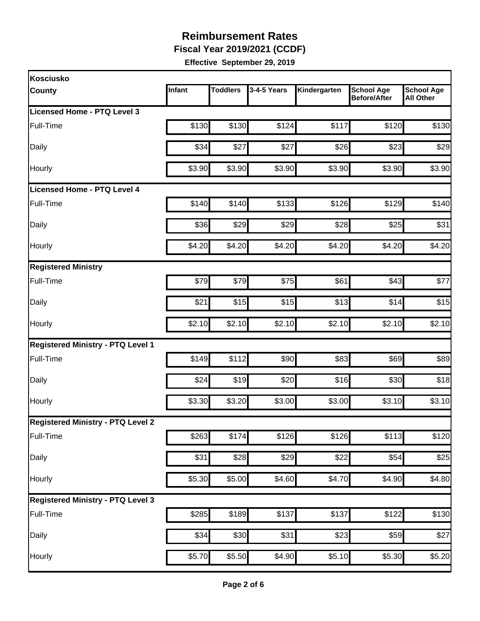**Fiscal Year 2019/2021 (CCDF)** 

| <b>Kosciusko</b>                         |        |                 |             |              |                                          |                                       |
|------------------------------------------|--------|-----------------|-------------|--------------|------------------------------------------|---------------------------------------|
| <b>County</b>                            | Infant | <b>Toddlers</b> | 3-4-5 Years | Kindergarten | <b>School Age</b><br><b>Before/After</b> | <b>School Age</b><br><b>All Other</b> |
| Licensed Home - PTQ Level 3              |        |                 |             |              |                                          |                                       |
| Full-Time                                | \$130  | \$130           | \$124       | \$117        | \$120                                    | \$130                                 |
| Daily                                    | \$34   | \$27            | \$27        | \$26         | \$23                                     | \$29                                  |
| Hourly                                   | \$3.90 | \$3.90          | \$3.90      | \$3.90       | \$3.90                                   | \$3.90                                |
| Licensed Home - PTQ Level 4              |        |                 |             |              |                                          |                                       |
| Full-Time                                | \$140  | \$140           | \$133       | \$126        | \$129                                    | \$140                                 |
| Daily                                    | \$36   | \$29            | \$29        | \$28         | \$25                                     | \$31                                  |
| Hourly                                   | \$4.20 | \$4.20          | \$4.20      | \$4.20       | \$4.20                                   | \$4.20                                |
| <b>Registered Ministry</b>               |        |                 |             |              |                                          |                                       |
| Full-Time                                | \$79   | \$79            | \$75        | \$61         | \$43                                     | \$77                                  |
| Daily                                    | \$21   | \$15            | \$15        | \$13         | \$14                                     | \$15                                  |
| Hourly                                   | \$2.10 | \$2.10          | \$2.10      | \$2.10       | \$2.10                                   | \$2.10                                |
| <b>Registered Ministry - PTQ Level 1</b> |        |                 |             |              |                                          |                                       |
| Full-Time                                | \$149  | \$112           | \$90        | \$83         | \$69                                     | \$89                                  |
| Daily                                    | \$24   | \$19            | \$20        | \$16         | \$30                                     | \$18                                  |
| Hourly                                   | \$3.30 | \$3.20          | \$3.00      | \$3.00       | \$3.10                                   | \$3.10                                |
| <b>Registered Ministry - PTQ Level 2</b> |        |                 |             |              |                                          |                                       |
| Full-Time                                | \$263  | \$174           | \$126       | \$126        | \$113                                    | \$120                                 |
| Daily                                    | \$31   | \$28            | \$29        | \$22         | \$54                                     | \$25                                  |
| Hourly                                   | \$5.30 | \$5.00          | \$4.60      | \$4.70       | \$4.90                                   | \$4.80                                |
| <b>Registered Ministry - PTQ Level 3</b> |        |                 |             |              |                                          |                                       |
| Full-Time                                | \$285  | \$189           | \$137       | \$137        | \$122                                    | \$130                                 |
| Daily                                    | \$34   | \$30            | \$31        | \$23         | \$59                                     | \$27                                  |
| Hourly                                   | \$5.70 | \$5.50          | \$4.90      | \$5.10       | \$5.30                                   | \$5.20                                |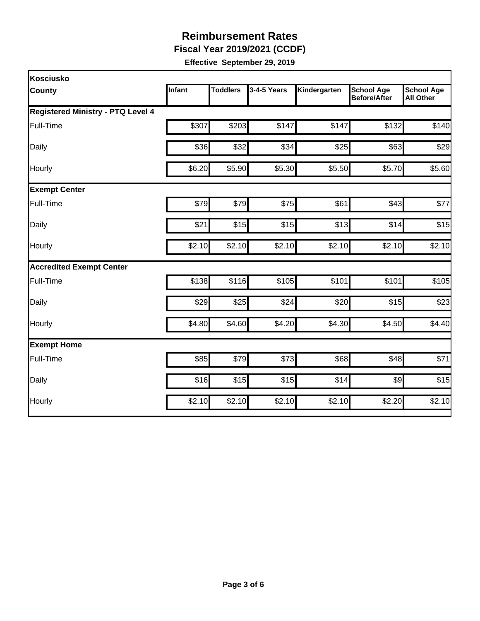**Fiscal Year 2019/2021 (CCDF)** 

| Kosciusko                                |               |                 |             |              |                                          |                                       |
|------------------------------------------|---------------|-----------------|-------------|--------------|------------------------------------------|---------------------------------------|
| <b>County</b>                            | <b>Infant</b> | <b>Toddlers</b> | 3-4-5 Years | Kindergarten | <b>School Age</b><br><b>Before/After</b> | <b>School Age</b><br><b>All Other</b> |
| <b>Registered Ministry - PTQ Level 4</b> |               |                 |             |              |                                          |                                       |
| Full-Time                                | \$307         | \$203           | \$147       | \$147        | \$132                                    | \$140                                 |
| Daily                                    | \$36          | \$32            | \$34        | \$25         | \$63                                     | \$29                                  |
| Hourly                                   | \$6.20        | \$5.90          | \$5.30      | \$5.50       | \$5.70                                   | \$5.60                                |
| <b>Exempt Center</b>                     |               |                 |             |              |                                          |                                       |
| Full-Time                                | \$79          | \$79            | \$75        | \$61         | \$43                                     | \$77                                  |
| Daily                                    | \$21          | \$15            | \$15        | \$13         | \$14                                     | \$15                                  |
| Hourly                                   | \$2.10        | \$2.10          | \$2.10      | \$2.10       | \$2.10                                   | \$2.10                                |
| <b>Accredited Exempt Center</b>          |               |                 |             |              |                                          |                                       |
| Full-Time                                | \$138         | \$116           | \$105       | \$101        | \$101                                    | \$105                                 |
| Daily                                    | \$29          | \$25            | \$24        | \$20         | \$15                                     | \$23                                  |
| Hourly                                   | \$4.80        | \$4.60          | \$4.20      | \$4.30       | \$4.50                                   | \$4.40                                |
| <b>Exempt Home</b>                       |               |                 |             |              |                                          |                                       |
| Full-Time                                | \$85          | \$79            | \$73        | \$68         | \$48                                     | \$71                                  |
| Daily                                    | \$16          | \$15            | \$15        | \$14         | \$9                                      | \$15                                  |
| Hourly                                   | \$2.10        | \$2.10          | \$2.10      | \$2.10       | \$2.20                                   | \$2.10                                |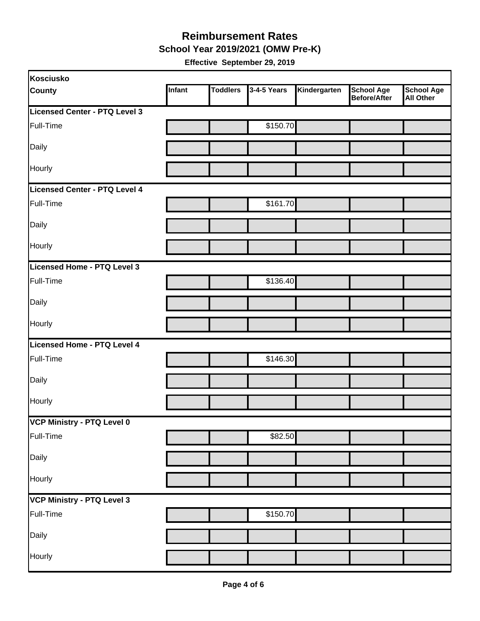#### **Reimbursement Rates School Year 2019/2021 (OMW Pre-K)**

| Kosciusko                     |        |                 |             |              |                                          |                                       |
|-------------------------------|--------|-----------------|-------------|--------------|------------------------------------------|---------------------------------------|
| <b>County</b>                 | Infant | <b>Toddlers</b> | 3-4-5 Years | Kindergarten | <b>School Age</b><br><b>Before/After</b> | <b>School Age</b><br><b>All Other</b> |
| Licensed Center - PTQ Level 3 |        |                 |             |              |                                          |                                       |
| Full-Time                     |        |                 | \$150.70    |              |                                          |                                       |
| Daily                         |        |                 |             |              |                                          |                                       |
| Hourly                        |        |                 |             |              |                                          |                                       |
| Licensed Center - PTQ Level 4 |        |                 |             |              |                                          |                                       |
| Full-Time                     |        |                 | \$161.70    |              |                                          |                                       |
| Daily                         |        |                 |             |              |                                          |                                       |
| Hourly                        |        |                 |             |              |                                          |                                       |
| Licensed Home - PTQ Level 3   |        |                 |             |              |                                          |                                       |
| Full-Time                     |        |                 | \$136.40    |              |                                          |                                       |
| Daily                         |        |                 |             |              |                                          |                                       |
| Hourly                        |        |                 |             |              |                                          |                                       |
| Licensed Home - PTQ Level 4   |        |                 |             |              |                                          |                                       |
| Full-Time                     |        |                 | \$146.30    |              |                                          |                                       |
| Daily                         |        |                 |             |              |                                          |                                       |
| Hourly                        |        |                 |             |              |                                          |                                       |
| VCP Ministry - PTQ Level 0    |        |                 |             |              |                                          |                                       |
| Full-Time                     |        |                 | \$82.50     |              |                                          |                                       |
| Daily                         |        |                 |             |              |                                          |                                       |
| Hourly                        |        |                 |             |              |                                          |                                       |
| VCP Ministry - PTQ Level 3    |        |                 |             |              |                                          |                                       |
| Full-Time                     |        |                 | \$150.70    |              |                                          |                                       |
| Daily                         |        |                 |             |              |                                          |                                       |
| Hourly                        |        |                 |             |              |                                          |                                       |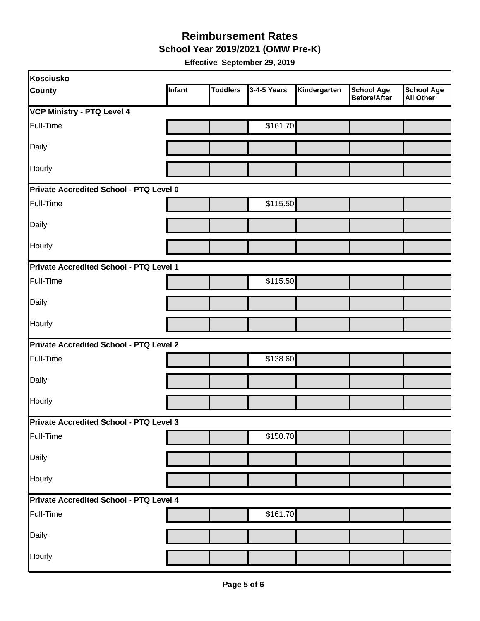**School Year 2019/2021 (OMW Pre-K)** 

| Kosciusko                                      |        |                 |             |              |                                   |                                       |
|------------------------------------------------|--------|-----------------|-------------|--------------|-----------------------------------|---------------------------------------|
| <b>County</b>                                  | Infant | <b>Toddlers</b> | 3-4-5 Years | Kindergarten | <b>School Age</b><br>Before/After | <b>School Age</b><br><b>All Other</b> |
| <b>VCP Ministry - PTQ Level 4</b>              |        |                 |             |              |                                   |                                       |
| Full-Time                                      |        |                 | \$161.70    |              |                                   |                                       |
| Daily                                          |        |                 |             |              |                                   |                                       |
| Hourly                                         |        |                 |             |              |                                   |                                       |
| <b>Private Accredited School - PTQ Level 0</b> |        |                 |             |              |                                   |                                       |
| Full-Time                                      |        |                 | \$115.50    |              |                                   |                                       |
| Daily                                          |        |                 |             |              |                                   |                                       |
| Hourly                                         |        |                 |             |              |                                   |                                       |
| Private Accredited School - PTQ Level 1        |        |                 |             |              |                                   |                                       |
| Full-Time                                      |        |                 | \$115.50    |              |                                   |                                       |
| Daily                                          |        |                 |             |              |                                   |                                       |
| Hourly                                         |        |                 |             |              |                                   |                                       |
| <b>Private Accredited School - PTQ Level 2</b> |        |                 |             |              |                                   |                                       |
| Full-Time                                      |        |                 | \$138.60    |              |                                   |                                       |
| Daily                                          |        |                 |             |              |                                   |                                       |
| Hourly                                         |        |                 |             |              |                                   |                                       |
| <b>Private Accredited School - PTQ Level 3</b> |        |                 |             |              |                                   |                                       |
| Full-Time                                      |        |                 | \$150.70    |              |                                   |                                       |
| Daily                                          |        |                 |             |              |                                   |                                       |
| Hourly                                         |        |                 |             |              |                                   |                                       |
| Private Accredited School - PTQ Level 4        |        |                 |             |              |                                   |                                       |
| Full-Time                                      |        |                 | \$161.70    |              |                                   |                                       |
| Daily                                          |        |                 |             |              |                                   |                                       |
| Hourly                                         |        |                 |             |              |                                   |                                       |